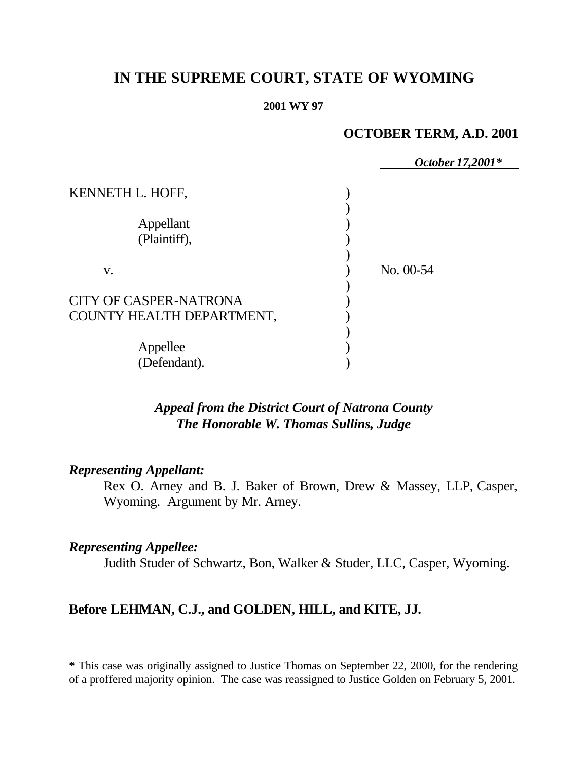# **IN THE SUPREME COURT, STATE OF WYOMING**

#### **2001 WY 97**

# **OCTOBER TERM, A.D. 2001**

|                               | October 17,2001* |
|-------------------------------|------------------|
| KENNETH L. HOFF,              |                  |
|                               |                  |
| Appellant                     |                  |
| (Plaintiff),                  |                  |
|                               |                  |
| V.                            | No. 00-54        |
|                               |                  |
| <b>CITY OF CASPER-NATRONA</b> |                  |
| COUNTY HEALTH DEPARTMENT,     |                  |
|                               |                  |
| Appellee                      |                  |
| (Defendant).                  |                  |

# *Appeal from the District Court of Natrona County The Honorable W. Thomas Sullins, Judge*

### *Representing Appellant:*

Rex O. Arney and B. J. Baker of Brown, Drew & Massey, LLP, Casper, Wyoming. Argument by Mr. Arney.

### *Representing Appellee:*

Judith Studer of Schwartz, Bon, Walker & Studer, LLC, Casper, Wyoming.

## **Before LEHMAN, C.J., and GOLDEN, HILL, and KITE, JJ.**

**\*** This case was originally assigned to Justice Thomas on September 22, 2000, for the rendering of a proffered majority opinion. The case was reassigned to Justice Golden on February 5, 2001.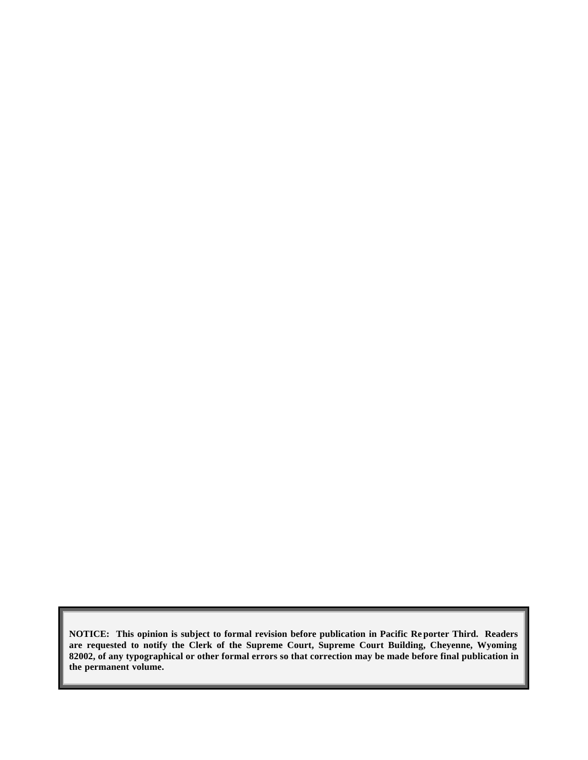**NOTICE: This opinion is subject to formal revision before publication in Pacific Re porter Third. Readers are requested to notify the Clerk of the Supreme Court, Supreme Court Building, Cheyenne, Wyoming 82002, of any typographical or other formal errors so that correction may be made before final publication in the permanent volume.**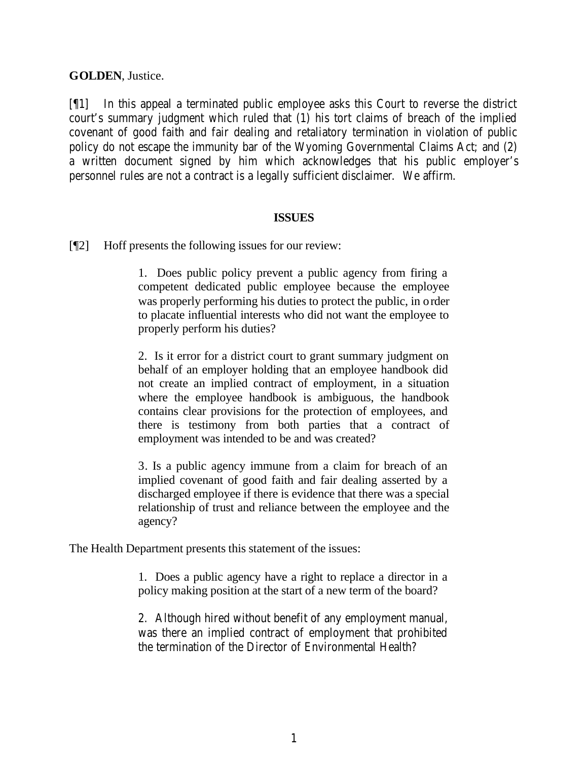**GOLDEN**, Justice.

[¶1] In this appeal a terminated public employee asks this Court to reverse the district court's summary judgment which ruled that (1) his tort claims of breach of the implied covenant of good faith and fair dealing and retaliatory termination in violation of public policy do not escape the immunity bar of the Wyoming Governmental Claims Act; and (2) a written document signed by him which acknowledges that his public employer's personnel rules are not a contract is a legally sufficient disclaimer. We affirm.

### **ISSUES**

[¶2] Hoff presents the following issues for our review:

1. Does public policy prevent a public agency from firing a competent dedicated public employee because the employee was properly performing his duties to protect the public, in order to placate influential interests who did not want the employee to properly perform his duties?

2. Is it error for a district court to grant summary judgment on behalf of an employer holding that an employee handbook did not create an implied contract of employment, in a situation where the employee handbook is ambiguous, the handbook contains clear provisions for the protection of employees, and there is testimony from both parties that a contract of employment was intended to be and was created?

3. Is a public agency immune from a claim for breach of an implied covenant of good faith and fair dealing asserted by a discharged employee if there is evidence that there was a special relationship of trust and reliance between the employee and the agency?

The Health Department presents this statement of the issues:

1. Does a public agency have a right to replace a director in a policy making position at the start of a new term of the board?

2. Although hired without benefit of any employment manual, was there an implied contract of employment that prohibited the termination of the Director of Environmental Health?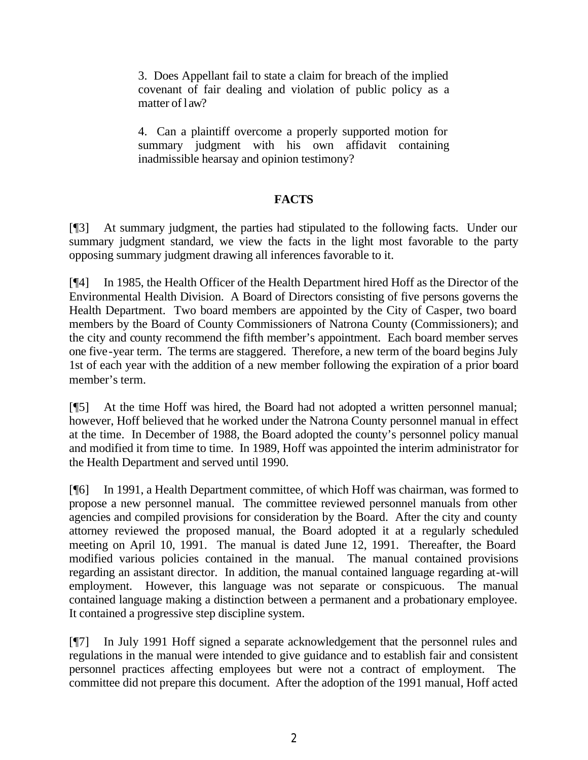3. Does Appellant fail to state a claim for breach of the implied covenant of fair dealing and violation of public policy as a matter of law?

4. Can a plaintiff overcome a properly supported motion for summary judgment with his own affidavit containing inadmissible hearsay and opinion testimony?

## **FACTS**

[¶3] At summary judgment, the parties had stipulated to the following facts. Under our summary judgment standard, we view the facts in the light most favorable to the party opposing summary judgment drawing all inferences favorable to it.

[¶4] In 1985, the Health Officer of the Health Department hired Hoff as the Director of the Environmental Health Division. A Board of Directors consisting of five persons governs the Health Department. Two board members are appointed by the City of Casper, two board members by the Board of County Commissioners of Natrona County (Commissioners); and the city and county recommend the fifth member's appointment. Each board member serves one five-year term. The terms are staggered. Therefore, a new term of the board begins July 1st of each year with the addition of a new member following the expiration of a prior board member's term.

[¶5] At the time Hoff was hired, the Board had not adopted a written personnel manual; however, Hoff believed that he worked under the Natrona County personnel manual in effect at the time. In December of 1988, the Board adopted the county's personnel policy manual and modified it from time to time. In 1989, Hoff was appointed the interim administrator for the Health Department and served until 1990.

[¶6] In 1991, a Health Department committee, of which Hoff was chairman, was formed to propose a new personnel manual. The committee reviewed personnel manuals from other agencies and compiled provisions for consideration by the Board. After the city and county attorney reviewed the proposed manual, the Board adopted it at a regularly scheduled meeting on April 10, 1991. The manual is dated June 12, 1991. Thereafter, the Board modified various policies contained in the manual. The manual contained provisions regarding an assistant director. In addition, the manual contained language regarding at-will employment. However, this language was not separate or conspicuous. The manual contained language making a distinction between a permanent and a probationary employee. It contained a progressive step discipline system.

[¶7] In July 1991 Hoff signed a separate acknowledgement that the personnel rules and regulations in the manual were intended to give guidance and to establish fair and consistent personnel practices affecting employees but were not a contract of employment. The committee did not prepare this document. After the adoption of the 1991 manual, Hoff acted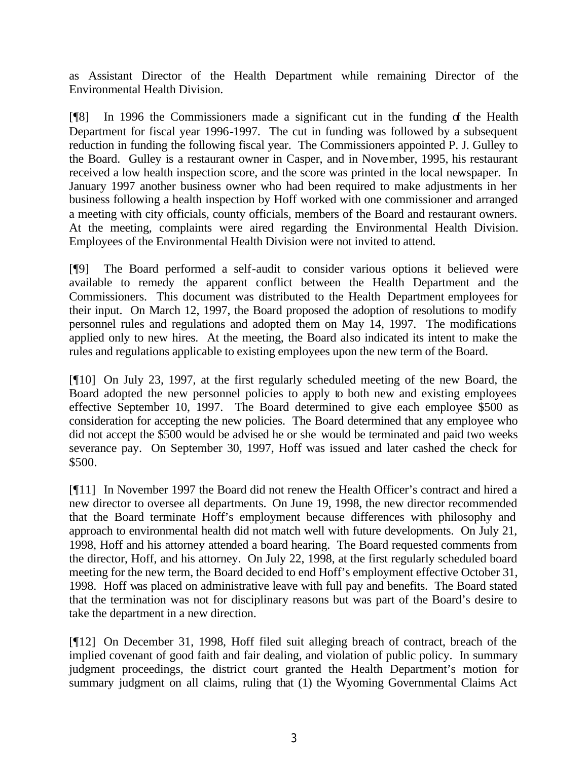as Assistant Director of the Health Department while remaining Director of the Environmental Health Division.

[¶8] In 1996 the Commissioners made a significant cut in the funding of the Health Department for fiscal year 1996-1997. The cut in funding was followed by a subsequent reduction in funding the following fiscal year. The Commissioners appointed P. J. Gulley to the Board. Gulley is a restaurant owner in Casper, and in November, 1995, his restaurant received a low health inspection score, and the score was printed in the local newspaper. In January 1997 another business owner who had been required to make adjustments in her business following a health inspection by Hoff worked with one commissioner and arranged a meeting with city officials, county officials, members of the Board and restaurant owners. At the meeting, complaints were aired regarding the Environmental Health Division. Employees of the Environmental Health Division were not invited to attend.

[¶9] The Board performed a self-audit to consider various options it believed were available to remedy the apparent conflict between the Health Department and the Commissioners. This document was distributed to the Health Department employees for their input. On March 12, 1997, the Board proposed the adoption of resolutions to modify personnel rules and regulations and adopted them on May 14, 1997. The modifications applied only to new hires. At the meeting, the Board also indicated its intent to make the rules and regulations applicable to existing employees upon the new term of the Board.

[¶10] On July 23, 1997, at the first regularly scheduled meeting of the new Board, the Board adopted the new personnel policies to apply to both new and existing employees effective September 10, 1997. The Board determined to give each employee \$500 as consideration for accepting the new policies. The Board determined that any employee who did not accept the \$500 would be advised he or she would be terminated and paid two weeks severance pay. On September 30, 1997, Hoff was issued and later cashed the check for \$500.

[¶11] In November 1997 the Board did not renew the Health Officer's contract and hired a new director to oversee all departments. On June 19, 1998, the new director recommended that the Board terminate Hoff's employment because differences with philosophy and approach to environmental health did not match well with future developments. On July 21, 1998, Hoff and his attorney attended a board hearing. The Board requested comments from the director, Hoff, and his attorney. On July 22, 1998, at the first regularly scheduled board meeting for the new term, the Board decided to end Hoff's employment effective October 31, 1998. Hoff was placed on administrative leave with full pay and benefits. The Board stated that the termination was not for disciplinary reasons but was part of the Board's desire to take the department in a new direction.

[¶12] On December 31, 1998, Hoff filed suit alleging breach of contract, breach of the implied covenant of good faith and fair dealing, and violation of public policy. In summary judgment proceedings, the district court granted the Health Department's motion for summary judgment on all claims, ruling that (1) the Wyoming Governmental Claims Act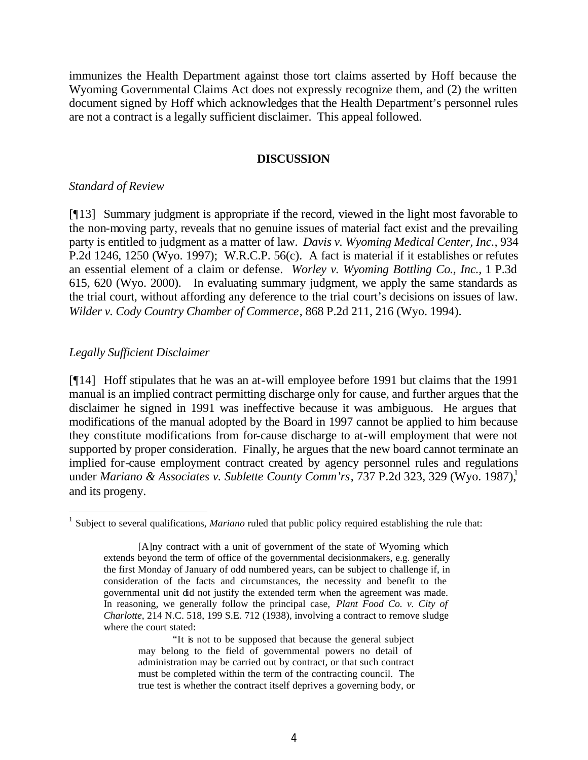immunizes the Health Department against those tort claims asserted by Hoff because the Wyoming Governmental Claims Act does not expressly recognize them, and (2) the written document signed by Hoff which acknowledges that the Health Department's personnel rules are not a contract is a legally sufficient disclaimer. This appeal followed.

#### **DISCUSSION**

#### *Standard of Review*

[¶13] Summary judgment is appropriate if the record, viewed in the light most favorable to the non-moving party, reveals that no genuine issues of material fact exist and the prevailing party is entitled to judgment as a matter of law. *Davis v. Wyoming Medical Center, Inc.,* 934 P.2d 1246, 1250 (Wyo. 1997); W.R.C.P. 56(c). A fact is material if it establishes or refutes an essential element of a claim or defense. *Worley v. Wyoming Bottling Co., Inc.,* 1 P.3d 615, 620 (Wyo. 2000). In evaluating summary judgment, we apply the same standards as the trial court, without affording any deference to the trial court's decisions on issues of law. *Wilder v. Cody Country Chamber of Commerce*, 868 P.2d 211, 216 (Wyo. 1994).

### *Legally Sufficient Disclaimer*

[¶14] Hoff stipulates that he was an at-will employee before 1991 but claims that the 1991 manual is an implied contract permitting discharge only for cause, and further argues that the disclaimer he signed in 1991 was ineffective because it was ambiguous. He argues that modifications of the manual adopted by the Board in 1997 cannot be applied to him because they constitute modifications from for-cause discharge to at-will employment that were not supported by proper consideration. Finally, he argues that the new board cannot terminate an implied for-cause employment contract created by agency personnel rules and regulations under *Mariano & Associates v. Sublette County Comm'rs*, 737 P.2d 323, 329 (Wyo. 1987),<sup>1</sup> and its progeny.

<sup>&</sup>lt;sup>1</sup> Subject to several qualifications, *Mariano* ruled that public policy required establishing the rule that:

<sup>[</sup>A]ny contract with a unit of government of the state of Wyoming which extends beyond the term of office of the governmental decisionmakers, e.g. generally the first Monday of January of odd numbered years, can be subject to challenge if, in consideration of the facts and circumstances, the necessity and benefit to the governmental unit did not justify the extended term when the agreement was made. In reasoning, we generally follow the principal case, *Plant Food Co. v. City of Charlotte*, 214 N.C. 518, 199 S.E. 712 (1938), involving a contract to remove sludge where the court stated:

<sup>&</sup>quot;It is not to be supposed that because the general subject may belong to the field of governmental powers no detail of administration may be carried out by contract, or that such contract must be completed within the term of the contracting council. The true test is whether the contract itself deprives a governing body, or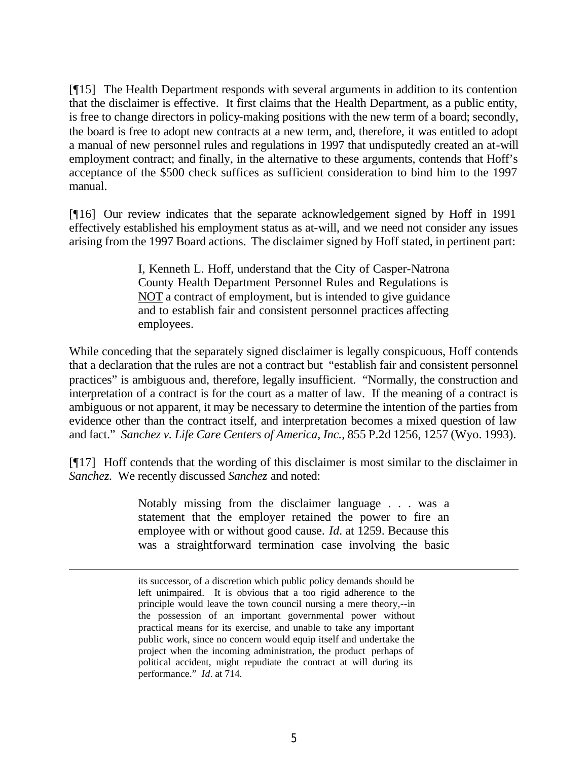[¶15] The Health Department responds with several arguments in addition to its contention that the disclaimer is effective. It first claims that the Health Department, as a public entity, is free to change directors in policy-making positions with the new term of a board; secondly, the board is free to adopt new contracts at a new term, and, therefore, it was entitled to adopt a manual of new personnel rules and regulations in 1997 that undisputedly created an at-will employment contract; and finally, in the alternative to these arguments, contends that Hoff's acceptance of the \$500 check suffices as sufficient consideration to bind him to the 1997 manual.

[¶16] Our review indicates that the separate acknowledgement signed by Hoff in 1991 effectively established his employment status as at-will, and we need not consider any issues arising from the 1997 Board actions.The disclaimer signed by Hoff stated, in pertinent part:

> I, Kenneth L. Hoff, understand that the City of Casper-Natrona County Health Department Personnel Rules and Regulations is NOT a contract of employment, but is intended to give guidance and to establish fair and consistent personnel practices affecting employees.

While conceding that the separately signed disclaimer is legally conspicuous, Hoff contends that a declaration that the rules are not a contract but "establish fair and consistent personnel practices" is ambiguous and, therefore, legally insufficient. "Normally, the construction and interpretation of a contract is for the court as a matter of law. If the meaning of a contract is ambiguous or not apparent, it may be necessary to determine the intention of the parties from evidence other than the contract itself, and interpretation becomes a mixed question of law and fact." *Sanchez v. Life Care Centers of America, Inc.,* 855 P.2d 1256, 1257 (Wyo. 1993).

[¶17] Hoff contends that the wording of this disclaimer is most similar to the disclaimer in *Sanchez.* We recently discussed *Sanchez* and noted:

> Notably missing from the disclaimer language . . . was a statement that the employer retained the power to fire an employee with or without good cause. *Id.* at 1259. Because this was a straightforward termination case involving the basic

its successor, of a discretion which public policy demands should be left unimpaired. It is obvious that a too rigid adherence to the principle would leave the town council nursing a mere theory,--in the possession of an important governmental power without practical means for its exercise, and unable to take any important public work, since no concern would equip itself and undertake the project when the incoming administration, the product perhaps of political accident, might repudiate the contract at will during its performance." *Id*. at 714.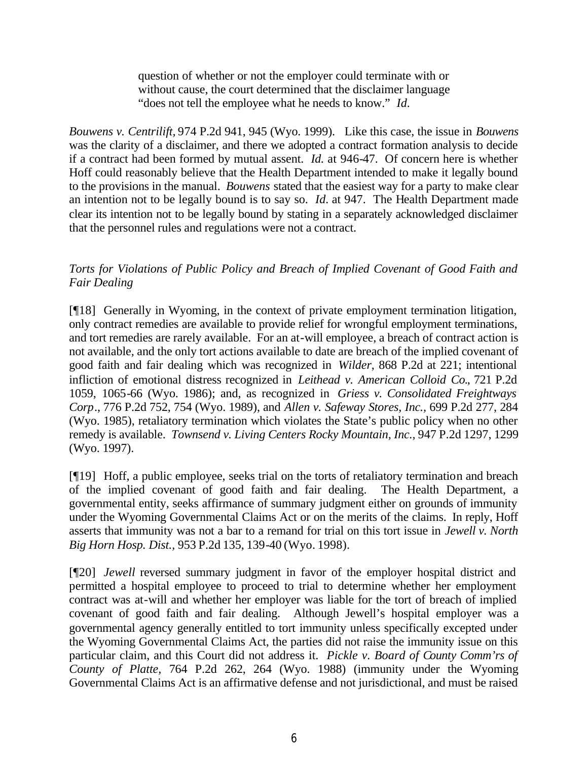question of whether or not the employer could terminate with or without cause, the court determined that the disclaimer language "does not tell the employee what he needs to know." *Id.*

*Bouwens v. Centrilift,* 974 P.2d 941, 945 (Wyo. 1999). Like this case, the issue in *Bouwens* was the clarity of a disclaimer, and there we adopted a contract formation analysis to decide if a contract had been formed by mutual assent. *Id.* at 946-47. Of concern here is whether Hoff could reasonably believe that the Health Department intended to make it legally bound to the provisions in the manual. *Bouwens* stated that the easiest way for a party to make clear an intention not to be legally bound is to say so. *Id.* at 947. The Health Department made clear its intention not to be legally bound by stating in a separately acknowledged disclaimer that the personnel rules and regulations were not a contract.

## *Torts for Violations of Public Policy and Breach of Implied Covenant of Good Faith and Fair Dealing*

[¶18] Generally in Wyoming, in the context of private employment termination litigation, only contract remedies are available to provide relief for wrongful employment terminations, and tort remedies are rarely available. For an at-will employee, a breach of contract action is not available, and the only tort actions available to date are breach of the implied covenant of good faith and fair dealing which was recognized in *Wilder*, 868 P.2d at 221; intentional infliction of emotional distress recognized in *Leithead v. American Colloid Co.*, 721 P.2d 1059, 1065-66 (Wyo. 1986); and, as recognized in *Griess v. Consolidated Freightways Corp*., 776 P.2d 752, 754 (Wyo. 1989), and *Allen v. Safeway Stores, Inc.,* 699 P.2d 277, 284 (Wyo. 1985), retaliatory termination which violates the State's public policy when no other remedy is available. *Townsend v. Living Centers Rocky Mountain, Inc.,* 947 P.2d 1297, 1299 (Wyo. 1997).

[¶19] Hoff, a public employee, seeks trial on the torts of retaliatory termination and breach of the implied covenant of good faith and fair dealing. The Health Department, a governmental entity, seeks affirmance of summary judgment either on grounds of immunity under the Wyoming Governmental Claims Act or on the merits of the claims. In reply, Hoff asserts that immunity was not a bar to a remand for trial on this tort issue in *Jewell v. North Big Horn Hosp. Dist.,* 953 P.2d 135, 139-40 (Wyo. 1998).

[¶20] *Jewell* reversed summary judgment in favor of the employer hospital district and permitted a hospital employee to proceed to trial to determine whether her employment contract was at-will and whether her employer was liable for the tort of breach of implied covenant of good faith and fair dealing. Although Jewell's hospital employer was a governmental agency generally entitled to tort immunity unless specifically excepted under the Wyoming Governmental Claims Act, the parties did not raise the immunity issue on this particular claim, and this Court did not address it. *Pickle v. Board of County Comm'rs of County of Platte,* 764 P.2d 262, 264 (Wyo. 1988) (immunity under the Wyoming Governmental Claims Act is an affirmative defense and not jurisdictional, and must be raised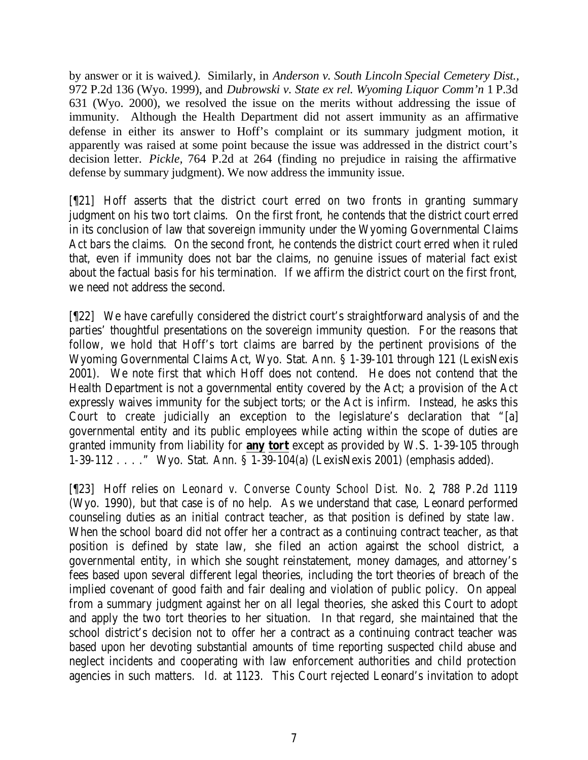by answer or it is waived*.).* Similarly, in *Anderson v. South Lincoln Special Cemetery Dist.,* 972 P.2d 136 (Wyo. 1999), and *Dubrowski v. State ex rel. Wyoming Liquor Comm'n* 1 P.3d 631 (Wyo. 2000), we resolved the issue on the merits without addressing the issue of immunity. Although the Health Department did not assert immunity as an affirmative defense in either its answer to Hoff's complaint or its summary judgment motion, it apparently was raised at some point because the issue was addressed in the district court's decision letter. *Pickle,* 764 P.2d at 264 (finding no prejudice in raising the affirmative defense by summary judgment). We now address the immunity issue.

[¶21] Hoff asserts that the district court erred on two fronts in granting summary judgment on his two tort claims. On the first front, he contends that the district court erred in its conclusion of law that sovereign immunity under the Wyoming Governmental Claims Act bars the claims. On the second front, he contends the district court erred when it ruled that, even if immunity does not bar the claims, no genuine issues of material fact exist about the factual basis for his termination. If we affirm the district court on the first front, we need not address the second.

[¶22] We have carefully considered the district court's straightforward analysis of and the parties' thoughtful presentations on the sovereign immunity question. For the reasons that follow, we hold that Hoff's tort claims are barred by the pertinent provisions of the Wyoming Governmental Claims Act, Wyo. Stat. Ann. § 1-39-101 through 121 (LexisNexis 2001). We note first that which Hoff does not contend. He does not contend that the Health Department is not a governmental entity covered by the Act; a provision of the Act expressly waives immunity for the subject torts; or the Act is infirm. Instead, he asks this Court to create judicially an exception to the legislature's declaration that "[a] governmental entity and its public employees while acting within the scope of duties are granted immunity from liability for **any tort** except as provided by W.S. 1-39-105 through 1-39-112 . . . ." Wyo. Stat. Ann. § 1-39-104(a) (LexisNexis 2001) (emphasis added).

[¶23] Hoff relies on *Leonard v. Converse County School Dist. No. 2*, 788 P.2d 1119 (Wyo. 1990), but that case is of no help. As we understand that case, Leonard performed counseling duties as an initial contract teacher, as that position is defined by state law. When the school board did not offer her a contract as a continuing contract teacher, as that position is defined by state law, she filed an action against the school district, a governmental entity, in which she sought reinstatement, money damages, and attorney's fees based upon several different legal theories, including the tort theories of breach of the implied covenant of good faith and fair dealing and violation of public policy. On appeal from a summary judgment against her on all legal theories, she asked this Court to adopt and apply the two tort theories to her situation. In that regard, she maintained that the school district's decision not to offer her a contract as a continuing contract teacher was based upon her devoting substantial amounts of time reporting suspected child abuse and neglect incidents and cooperating with law enforcement authorities and child protection agencies in such matters. *Id.* at 1123. This Court rejected Leonard's invitation to adopt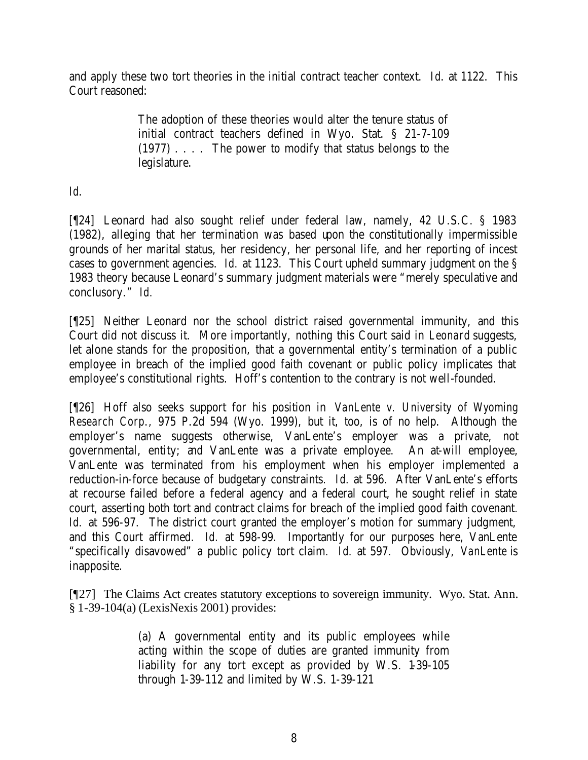and apply these two tort theories in the initial contract teacher context. *Id*. at 1122. This Court reasoned:

> The adoption of these theories would alter the tenure status of initial contract teachers defined in Wyo. Stat. § 21-7-109 (1977) . . . . The power to modify that status belongs to the legislature.

## *Id.*

[¶24] Leonard had also sought relief under federal law, namely, 42 U.S.C. § 1983 (1982), alleging that her termination was based upon the constitutionally impermissible grounds of her marital status, her residency, her personal life, and her reporting of incest cases to government agencies. *Id.* at 1123. This Court upheld summary judgment on the § 1983 theory because Leonard's summary judgment materials were "merely speculative and conclusory." *Id.*

[¶25] Neither Leonard nor the school district raised governmental immunity, and this Court did not discuss it. More importantly, nothing this Court said in *Leonard* suggests, let alone stands for the proposition, that a governmental entity's termination of a public employee in breach of the implied good faith covenant or public policy implicates that employee's constitutional rights. Hoff's contention to the contrary is not well-founded.

[¶26] Hoff also seeks support for his position in *VanLente v. University of Wyoming Research Corp.,* 975 P.2d 594 (Wyo. 1999), but it, too, is of no help. Although the employer's name suggests otherwise, VanLente's employer was a private, not governmental, entity; and VanLente was a private employee. An at-will employee, VanLente was terminated from his employment when his employer implemented a reduction-in-force because of budgetary constraints. *Id*. at 596. After VanLente's efforts at recourse failed before a federal agency and a federal court, he sought relief in state court, asserting both tort and contract claims for breach of the implied good faith covenant. Id. at 596-97. The district court granted the employer's motion for summary judgment, and this Court affirmed. *Id.* at 598-99. Importantly for our purposes here, VanLente "specifically disavowed" a public policy tort claim. *Id*. at 597. Obviously, *VanLente* is inapposite.

[¶27] The Claims Act creates statutory exceptions to sovereign immunity. Wyo. Stat. Ann. § 1-39-104(a) (LexisNexis 2001) provides:

> (a) A governmental entity and its public employees while acting within the scope of duties are granted immunity from liability for any tort except as provided by W.S. 1-39-105 through 1-39-112 and limited by W.S. 1-39-121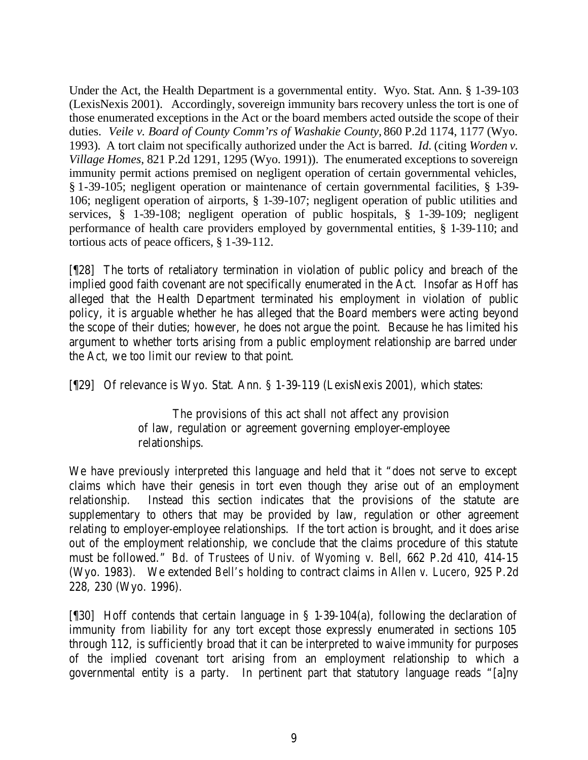Under the Act, the Health Department is a governmental entity. Wyo. Stat. Ann. § 1-39-103 (LexisNexis 2001). Accordingly, sovereign immunity bars recovery unless the tort is one of those enumerated exceptions in the Act or the board members acted outside the scope of their duties. *Veile v. Board of County Comm'rs of Washakie County,* 860 P.2d 1174, 1177 (Wyo. 1993)*.* A tort claim not specifically authorized under the Act is barred. *Id.* (citing *Worden v. Village Homes*, 821 P.2d 1291, 1295 (Wyo. 1991)). The enumerated exceptions to sovereign immunity permit actions premised on negligent operation of certain governmental vehicles, § 1-39-105; negligent operation or maintenance of certain governmental facilities, § 1-39- 106; negligent operation of airports, § 1-39-107; negligent operation of public utilities and services, § 1-39-108; negligent operation of public hospitals, § 1-39-109; negligent performance of health care providers employed by governmental entities, § 1-39-110; and tortious acts of peace officers, § 1-39-112.

[¶28] The torts of retaliatory termination in violation of public policy and breach of the implied good faith covenant are not specifically enumerated in the Act. Insofar as Hoff has alleged that the Health Department terminated his employment in violation of public policy, it is arguable whether he has alleged that the Board members were acting beyond the scope of their duties; however, he does not argue the point. Because he has limited his argument to whether torts arising from a public employment relationship are barred under the Act, we too limit our review to that point.

[¶29] Of relevance is Wyo. Stat. Ann. § 1-39-119 (LexisNexis 2001), which states:

The provisions of this act shall not affect any provision of law, regulation or agreement governing employer-employee relationships.

We have previously interpreted this language and held that it "does not serve to except claims which have their genesis in tort even though they arise out of an employment relationship. Instead this section indicates that the provisions of the statute are supplementary to others that may be provided by law, regulation or other agreement relating to employer-employee relationships. If the tort action is brought, and it does arise out of the employment relationship, we conclude that the claims procedure of this statute must be followed." *Bd. of Trustees of Univ. of Wyoming v. Bell*, 662 P.2d 410, 414-15 (Wyo. 1983). We extended *Bell's* holding to contract claims in *Allen v. Lucero,* 925 P.2d 228, 230 (Wyo. 1996).

[¶30] Hoff contends that certain language in § 1-39-104(a), following the declaration of immunity from liability for any tort except those expressly enumerated in sections 105 through 112, is sufficiently broad that it can be interpreted to waive immunity for purposes of the implied covenant tort arising from an employment relationship to which a governmental entity is a party. In pertinent part that statutory language reads "[a]ny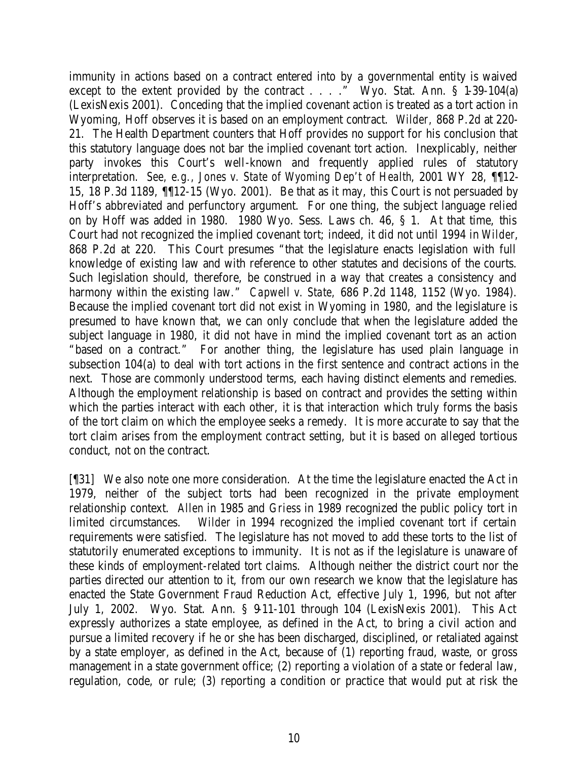immunity in actions based on a contract entered into by a governmental entity is waived except to the extent provided by the contract  $\dots$  . . . Wyo. Stat. Ann. § 1-39-104(a) (LexisNexis 2001). Conceding that the implied covenant action is treated as a tort action in Wyoming, Hoff observes it is based on an employment contract. *Wilder,* 868 P.2d at 220- 21. The Health Department counters that Hoff provides no support for his conclusion that this statutory language does not bar the implied covenant tort action. Inexplicably, neither party invokes this Court's well-known and frequently applied rules of statutory interpretation. *See, e.g., Jones v. State of Wyoming Dep't of Health*, 2001 WY 28, ¶¶12- 15, 18 P.3d 1189, ¶¶12-15 (Wyo. 2001). Be that as it may, this Court is not persuaded by Hoff's abbreviated and perfunctory argument. For one thing, the subject language relied on by Hoff was added in 1980. 1980 Wyo. Sess. Laws ch. 46, § 1. At that time, this Court had not recognized the implied covenant tort; indeed, it did not until 1994 in *Wilder*, 868 P.2d at 220. This Court presumes "that the legislature enacts legislation with full knowledge of existing law and with reference to other statutes and decisions of the courts. Such legislation should, therefore, be construed in a way that creates a consistency and harmony within the existing law." *Capwell v. State,* 686 P.2d 1148, 1152 (Wyo. 1984). Because the implied covenant tort did not exist in Wyoming in 1980, and the legislature is presumed to have known that, we can only conclude that when the legislature added the subject language in 1980, it did not have in mind the implied covenant tort as an action "based on a contract." For another thing, the legislature has used plain language in subsection 104(a) to deal with tort actions in the first sentence and contract actions in the next. Those are commonly understood terms, each having distinct elements and remedies. Although the employment relationship is based on contract and provides the setting within which the parties interact with each other, it is that interaction which truly forms the basis of the tort claim on which the employee seeks a remedy. It is more accurate to say that the tort claim arises from the employment contract setting, but it is based on alleged tortious conduct, not on the contract.

[¶31] We also note one more consideration. At the time the legislature enacted the Act in 1979, neither of the subject torts had been recognized in the private employment relationship context. *Allen* in 1985 and *Griess* in 1989 recognized the public policy tort in limited circumstances. *Wilder* in 1994 recognized the implied covenant tort if certain requirements were satisfied. The legislature has not moved to add these torts to the list of statutorily enumerated exceptions to immunity. It is not as if the legislature is unaware of these kinds of employment-related tort claims. Although neither the district court nor the parties directed our attention to it, from our own research we know that the legislature has enacted the State Government Fraud Reduction Act, effective July 1, 1996, but not after July 1, 2002. Wyo. Stat. Ann. § 9-11-101 through 104 (LexisNexis 2001). This Act expressly authorizes a state employee, as defined in the Act, to bring a civil action and pursue a limited recovery if he or she has been discharged, disciplined, or retaliated against by a state employer, as defined in the Act, because of (1) reporting fraud, waste, or gross management in a state government office; (2) reporting a violation of a state or federal law, regulation, code, or rule; (3) reporting a condition or practice that would put at risk the